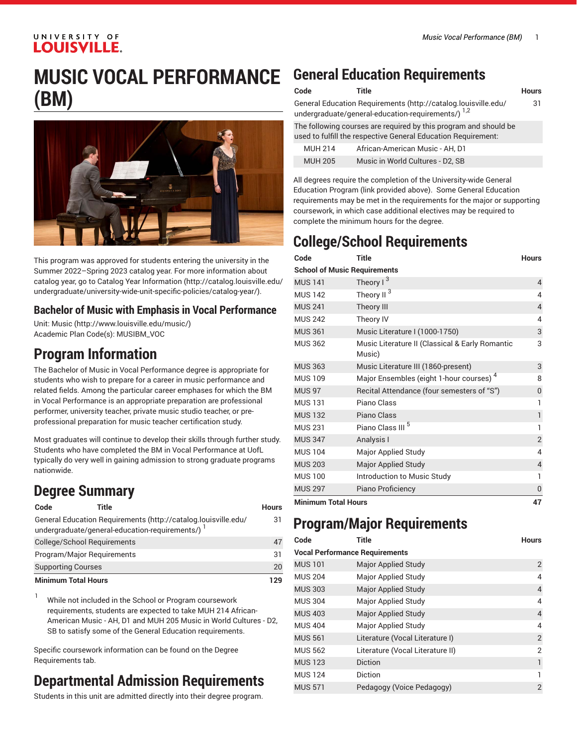### UNIVERSITY OF **LOUISVILLE.**

# **MUSIC VOCAL PERFORMANCE (BM)**



This program was approved for students entering the university in the Summer 2022–Spring 2023 catalog year. For more information about catalog year, go to Catalog Year [Information](http://catalog.louisville.edu/undergraduate/university-wide-unit-specific-policies/catalog-year/) ([http://catalog.louisville.edu/](http://catalog.louisville.edu/undergraduate/university-wide-unit-specific-policies/catalog-year/) [undergraduate/university-wide-unit-specific-policies/catalog-year/](http://catalog.louisville.edu/undergraduate/university-wide-unit-specific-policies/catalog-year/)).

### **Bachelor of Music with Emphasis in Vocal Performance**

Unit: [Music \(http://www.louisville.edu/music/](http://www.louisville.edu/music/)) Academic Plan Code(s): MUSIBM\_VOC

### **Program Information**

The Bachelor of Music in Vocal Performance degree is appropriate for students who wish to prepare for a career in music performance and related fields. Among the particular career emphases for which the BM in Vocal Performance is an appropriate preparation are professional performer, university teacher, private music studio teacher, or preprofessional preparation for music teacher certification study.

Most graduates will continue to develop their skills through further study. Students who have completed the BM in Vocal Performance at UofL typically do very well in gaining admission to strong graduate programs nationwide.

## **Degree Summary**

| Code                       | Title                                                                                                              | <b>Hours</b> |
|----------------------------|--------------------------------------------------------------------------------------------------------------------|--------------|
|                            | General Education Requirements (http://catalog.louisville.edu/<br>undergraduate/general-education-requirements/) 1 | 31           |
|                            | College/School Requirements                                                                                        | 47           |
|                            | Program/Major Requirements                                                                                         | 31           |
| <b>Supporting Courses</b>  |                                                                                                                    | 20           |
| <b>Minimum Total Hours</b> |                                                                                                                    | 129          |

 $1$  While not included in the School or Program coursework requirements, students are expected to take MUH 214 African-American Music - AH, D1 and MUH 205 Music in World Cultures - D2, SB to satisfy some of the General Education requirements.

Specific coursework information can be found on the Degree Requirements tab.

## **Departmental Admission Requirements**

Students in this unit are admitted directly into their degree program.

## **General Education Requirements**

| Code | Title                                                          | <b>Hours</b> |
|------|----------------------------------------------------------------|--------------|
|      | General Education Requirements (http://catalog.louisville.edu/ | -31          |
|      | undergraduate/general-education-requirements/) $^{1,2}$        |              |

The following courses are required by this program and should be used to fulfill the respective General Education Requirement:

| <b>MUH 214</b> | African-American Music - AH. D1  |
|----------------|----------------------------------|
| <b>MUH 205</b> | Music in World Cultures - D2, SB |

All degrees require the completion of the University-wide General Education Program (link provided above). Some General Education requirements may be met in the requirements for the major or supporting coursework, in which case additional electives may be required to complete the minimum hours for the degree.

## **College/School Requirements**

| Code                                | <b>Title</b>                                              | <b>Hours</b>   |
|-------------------------------------|-----------------------------------------------------------|----------------|
| <b>School of Music Requirements</b> |                                                           |                |
| <b>MUS 141</b>                      | Theory $1^3$                                              | $\overline{4}$ |
| <b>MUS 142</b>                      | Theory II <sup>3</sup>                                    | 4              |
| <b>MUS 241</b>                      | Theory III                                                | 4              |
| <b>MUS 242</b>                      | Theory IV                                                 | 4              |
| <b>MUS 361</b>                      | Music Literature I (1000-1750)                            | 3              |
| <b>MUS 362</b>                      | Music Literature II (Classical & Early Romantic<br>Music) | 3              |
| <b>MUS 363</b>                      | Music Literature III (1860-present)                       | 3              |
| <b>MUS 109</b>                      | Major Ensembles (eight 1-hour courses) <sup>4</sup>       | 8              |
| <b>MUS 97</b>                       | Recital Attendance (four semesters of "S")                | 0              |
| <b>MUS 131</b>                      | Piano Class                                               | 1              |
| <b>MUS 132</b>                      | <b>Piano Class</b>                                        | 1              |
| <b>MUS 231</b>                      | Piano Class III <sup>5</sup>                              | 1              |
| <b>MUS 347</b>                      | Analysis I                                                | $\overline{2}$ |
| <b>MUS 104</b>                      | Major Applied Study                                       | 4              |
| <b>MUS 203</b>                      | <b>Major Applied Study</b>                                | 4              |
| <b>MUS 100</b>                      | Introduction to Music Study                               | 1              |
| <b>MUS 297</b>                      | Piano Proficiency                                         | 0              |
| <b>Minimum Total Hours</b>          |                                                           | 47             |

## **Program/Major Requirements**

| Code                                  | Title                            | <b>Hours</b>   |
|---------------------------------------|----------------------------------|----------------|
| <b>Vocal Performance Requirements</b> |                                  |                |
| <b>MUS 101</b>                        | <b>Major Applied Study</b>       | $\overline{2}$ |
| <b>MUS 204</b>                        | Major Applied Study              | 4              |
| <b>MUS 303</b>                        | <b>Major Applied Study</b>       | $\overline{4}$ |
| <b>MUS 304</b>                        | Major Applied Study              | 4              |
| <b>MUS 403</b>                        | <b>Major Applied Study</b>       | $\overline{4}$ |
| <b>MUS 404</b>                        | Major Applied Study              | 4              |
| <b>MUS 561</b>                        | Literature (Vocal Literature I)  | $\overline{2}$ |
| <b>MUS 562</b>                        | Literature (Vocal Literature II) | $\overline{2}$ |
| <b>MUS 123</b>                        | <b>Diction</b>                   | 1              |
| <b>MUS 124</b>                        | Diction                          | 1              |
| <b>MUS 571</b>                        | Pedagogy (Voice Pedagogy)        | $\overline{2}$ |
|                                       |                                  |                |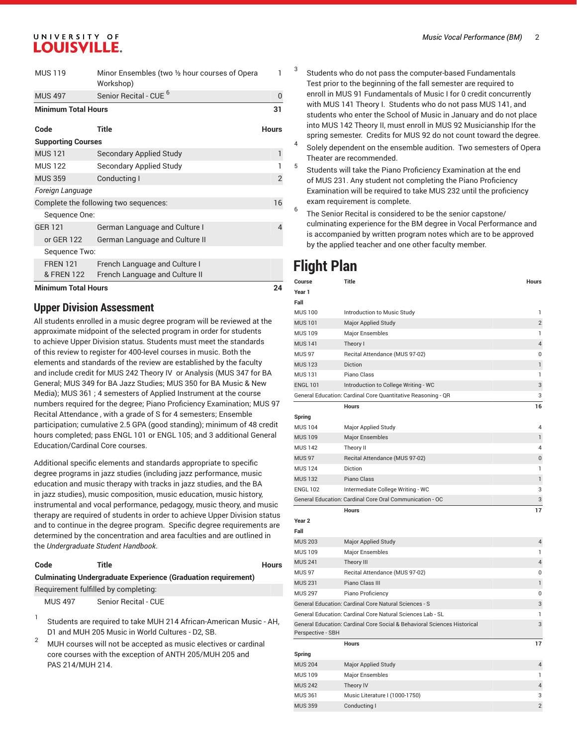### UNIVERSITY OF **LOUISVILLE.**

| <b>MUS 119</b>             | Minor Ensembles (two 1/2 hour courses of Opera<br>Workshop) | 1              |
|----------------------------|-------------------------------------------------------------|----------------|
| <b>MUS 497</b>             | Senior Recital - CUE <sup>b</sup>                           | 0              |
| <b>Minimum Total Hours</b> |                                                             | 31             |
| Code                       | Title                                                       | <b>Hours</b>   |
| <b>Supporting Courses</b>  |                                                             |                |
| <b>MUS 121</b>             | <b>Secondary Applied Study</b>                              | 1              |
| <b>MUS 122</b>             | Secondary Applied Study                                     |                |
| <b>MUS 359</b>             | Conducting I                                                | $\overline{2}$ |
| Foreign Language           |                                                             |                |
|                            | Complete the following two sequences:                       | 16             |
| Sequence One:              |                                                             |                |
| <b>GER 121</b>             | German Language and Culture I                               | 4              |
| or GER 122                 | German Language and Culture II                              |                |
| Sequence Two:              |                                                             |                |
| <b>FREN 121</b>            | French Language and Culture I                               |                |
| & FREN 122                 | French Language and Culture II                              |                |
| <b>Minimum Total Hours</b> |                                                             | 24             |

### **Upper Division Assessment**

All students enrolled in a music degree program will be reviewed at the approximate midpoint of the selected program in order for students to achieve Upper Division status. Students must meet the standards of this review to register for 400-level courses in music. Both the elements and standards of the review are established by the faculty and include credit for MUS 242 Theory IV or Analysis (MUS 347 for BA General; MUS 349 for BA Jazz Studies; MUS 350 for BA Music & New Media); MUS 361 ; 4 semesters of Applied Instrument at the course numbers required for the degree; Piano Proficiency Examination; MUS 97 Recital Attendance , with a grade of S for 4 semesters; Ensemble participation; cumulative 2.5 GPA (good standing); minimum of 48 credit hours completed; pass ENGL 101 or ENGL 105; and 3 additional General Education/Cardinal Core courses.

Additional specific elements and standards appropriate to specific degree programs in jazz studies (including jazz performance, music education and music therapy with tracks in jazz studies, and the BA in jazz studies), music composition, music education, music history, instrumental and vocal performance, pedagogy, music theory, and music therapy are required of students in order to achieve Upper Division status and to continue in the degree program. Specific degree requirements are determined by the concentration and area faculties and are outlined in the *Undergraduate Student Handbook*.

#### **Code Title Hours**

#### **Culminating Undergraduate Experience (Graduation requirement)**

Requirement fulfilled by completing:

MUS 497 Senior Recital - CUE

- 1 Students are required to take MUH 214 African-American Music - AH, D1 and MUH 205 Music in World Cultures - D2, SB.
- $2^2$  MUH courses will not be accepted as music electives or cardinal core courses with the exception of ANTH 205/MUH 205 and PAS 214/MUH 214.
- Students who do not pass the computer-based Fundamentals Test prior to the beginning of the fall semester are required to enroll in MUS 91 Fundamentals of Music I for 0 credit concurrently with MUS 141 Theory I. Students who do not pass MUS 141, and students who enter the School of Music in January and do not place into MUS 142 Theory II, must enroll in MUS 92 Musicianship Ifor the spring semester. Credits for MUS 92 do not count toward the degree.
- 4 Solely dependent on the ensemble audition. Two semesters of Opera Theater are recommended.
- 5 Students will take the Piano Proficiency Examination at the end of MUS 231. Any student not completing the Piano Proficiency Examination will be required to take MUS 232 until the proficiency exam requirement is complete.
- 6 The Senior Recital is considered to be the senior capstone/ culminating experience for the BM degree in Vocal Performance and is accompanied by written program notes which are to be approved by the applied teacher and one other faculty member.

## **Flight Plan**

3

| Course            | <b>Title</b>                                                             | <b>Hours</b>            |
|-------------------|--------------------------------------------------------------------------|-------------------------|
| Year 1            |                                                                          |                         |
| Fall              |                                                                          |                         |
| <b>MUS 100</b>    | Introduction to Music Study                                              | 1                       |
| <b>MUS 101</b>    | <b>Major Applied Study</b>                                               | $\overline{2}$          |
| <b>MUS 109</b>    | <b>Major Ensembles</b>                                                   | 1                       |
| <b>MUS 141</b>    | Theory I                                                                 | 4                       |
| <b>MUS 97</b>     | Recital Attendance (MUS 97-02)                                           | 0                       |
| <b>MUS123</b>     | <b>Diction</b>                                                           | 1                       |
| <b>MUS 131</b>    | Piano Class                                                              | 1                       |
| <b>ENGL 101</b>   | Introduction to College Writing - WC                                     | 3                       |
|                   | General Education: Cardinal Core Quantitative Reasoning - QR             | 3                       |
|                   | <b>Hours</b>                                                             | 16                      |
| Spring            |                                                                          |                         |
| <b>MUS 104</b>    | Major Applied Study                                                      | 4                       |
| <b>MUS 109</b>    | <b>Major Ensembles</b>                                                   | 1                       |
| <b>MUS 142</b>    | Theory II                                                                | 4                       |
| <b>MUS 97</b>     | Recital Attendance (MUS 97-02)                                           | 0                       |
| <b>MUS124</b>     | Diction                                                                  | 1                       |
| <b>MUS132</b>     | Piano Class                                                              | $\mathbf{1}$            |
| <b>ENGL 102</b>   | Intermediate College Writing - WC                                        | 3                       |
|                   | General Education: Cardinal Core Oral Communication - OC                 | 3                       |
|                   | <b>Hours</b>                                                             | 17                      |
| Year <sub>2</sub> |                                                                          |                         |
| Fall              |                                                                          |                         |
| <b>MUS 203</b>    | <b>Major Applied Study</b>                                               | 4                       |
| <b>MUS 109</b>    | <b>Major Ensembles</b>                                                   | 1                       |
| <b>MUS 241</b>    | <b>Theory III</b>                                                        | $\overline{\mathbf{4}}$ |
| <b>MUS 97</b>     | Recital Attendance (MUS 97-02)                                           | 0                       |
| <b>MUS 231</b>    | Piano Class III                                                          | 1                       |
| <b>MUS 297</b>    | Piano Proficiency                                                        | 0                       |
|                   | General Education: Cardinal Core Natural Sciences - S                    | 3                       |
|                   | General Education: Cardinal Core Natural Sciences Lab - SL               | 1                       |
| Perspective - SBH | General Education: Cardinal Core Social & Behavioral Sciences Historical | 3                       |
|                   |                                                                          | $\overline{ }$          |

|                | <b>Hours</b>                   |                |
|----------------|--------------------------------|----------------|
| Spring         |                                |                |
| <b>MUS 204</b> | <b>Major Applied Study</b>     | $\overline{4}$ |
| <b>MUS 109</b> | Major Ensembles                |                |
| <b>MUS 242</b> | Theory IV                      | $\overline{4}$ |
| <b>MUS 361</b> | Music Literature I (1000-1750) | 3              |
| <b>MUS 359</b> | Conducting I                   | $\overline{2}$ |